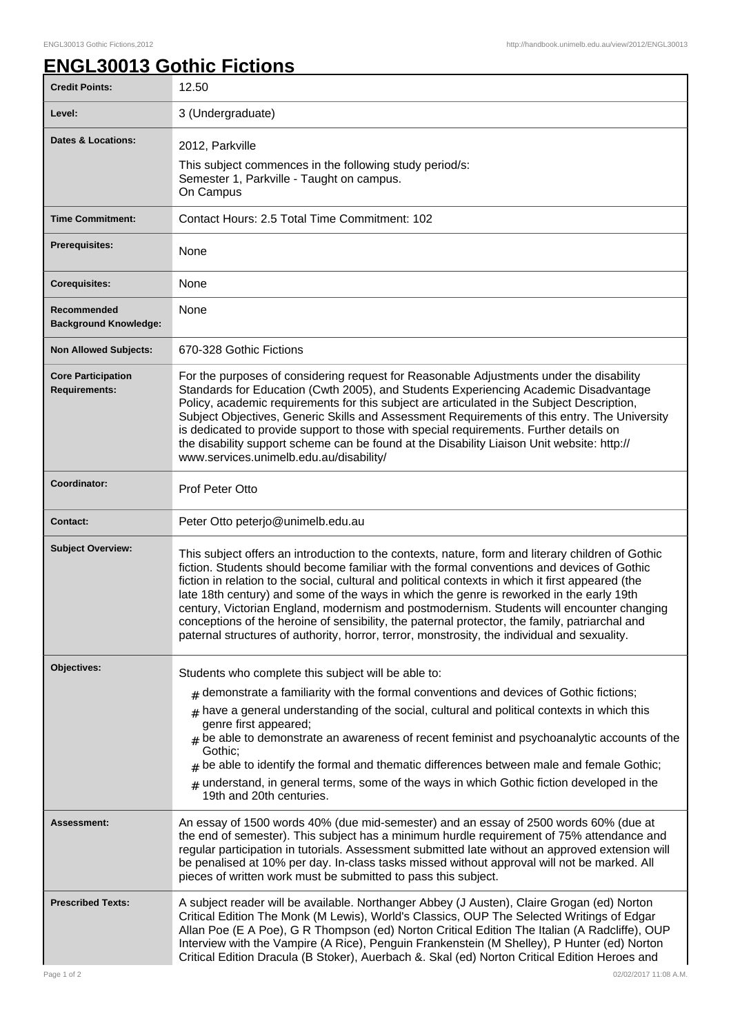## **ENGL30013 Gothic Fictions**

| <b>Credit Points:</b>                             | 12.50                                                                                                                                                                                                                                                                                                                                                                                                                                                                                                                                                                                                                                                                                            |
|---------------------------------------------------|--------------------------------------------------------------------------------------------------------------------------------------------------------------------------------------------------------------------------------------------------------------------------------------------------------------------------------------------------------------------------------------------------------------------------------------------------------------------------------------------------------------------------------------------------------------------------------------------------------------------------------------------------------------------------------------------------|
| Level:                                            | 3 (Undergraduate)                                                                                                                                                                                                                                                                                                                                                                                                                                                                                                                                                                                                                                                                                |
| <b>Dates &amp; Locations:</b>                     | 2012, Parkville<br>This subject commences in the following study period/s:<br>Semester 1, Parkville - Taught on campus.<br>On Campus                                                                                                                                                                                                                                                                                                                                                                                                                                                                                                                                                             |
| <b>Time Commitment:</b>                           | Contact Hours: 2.5 Total Time Commitment: 102                                                                                                                                                                                                                                                                                                                                                                                                                                                                                                                                                                                                                                                    |
| <b>Prerequisites:</b>                             | None                                                                                                                                                                                                                                                                                                                                                                                                                                                                                                                                                                                                                                                                                             |
| <b>Corequisites:</b>                              | None                                                                                                                                                                                                                                                                                                                                                                                                                                                                                                                                                                                                                                                                                             |
| Recommended<br><b>Background Knowledge:</b>       | None                                                                                                                                                                                                                                                                                                                                                                                                                                                                                                                                                                                                                                                                                             |
| <b>Non Allowed Subjects:</b>                      | 670-328 Gothic Fictions                                                                                                                                                                                                                                                                                                                                                                                                                                                                                                                                                                                                                                                                          |
| <b>Core Participation</b><br><b>Requirements:</b> | For the purposes of considering request for Reasonable Adjustments under the disability<br>Standards for Education (Cwth 2005), and Students Experiencing Academic Disadvantage<br>Policy, academic requirements for this subject are articulated in the Subject Description,<br>Subject Objectives, Generic Skills and Assessment Requirements of this entry. The University<br>is dedicated to provide support to those with special requirements. Further details on<br>the disability support scheme can be found at the Disability Liaison Unit website: http://<br>www.services.unimelb.edu.au/disability/                                                                                 |
| Coordinator:                                      | Prof Peter Otto                                                                                                                                                                                                                                                                                                                                                                                                                                                                                                                                                                                                                                                                                  |
| <b>Contact:</b>                                   | Peter Otto peterjo@unimelb.edu.au                                                                                                                                                                                                                                                                                                                                                                                                                                                                                                                                                                                                                                                                |
| <b>Subject Overview:</b>                          | This subject offers an introduction to the contexts, nature, form and literary children of Gothic<br>fiction. Students should become familiar with the formal conventions and devices of Gothic<br>fiction in relation to the social, cultural and political contexts in which it first appeared (the<br>late 18th century) and some of the ways in which the genre is reworked in the early 19th<br>century, Victorian England, modernism and postmodernism. Students will encounter changing<br>conceptions of the heroine of sensibility, the paternal protector, the family, patriarchal and<br>paternal structures of authority, horror, terror, monstrosity, the individual and sexuality. |
| Objectives:                                       | Students who complete this subject will be able to:                                                                                                                                                                                                                                                                                                                                                                                                                                                                                                                                                                                                                                              |
|                                                   | $_{\#}$ demonstrate a familiarity with the formal conventions and devices of Gothic fictions;<br>$_{\#}$ have a general understanding of the social, cultural and political contexts in which this<br>genre first appeared;<br>$_{\text{\#}}$ be able to demonstrate an awareness of recent feminist and psychoanalytic accounts of the<br>Gothic:<br>be able to identify the formal and thematic differences between male and female Gothic;<br>#<br>$#$ understand, in general terms, some of the ways in which Gothic fiction developed in the<br>19th and 20th centuries.                                                                                                                    |
| <b>Assessment:</b>                                | An essay of 1500 words 40% (due mid-semester) and an essay of 2500 words 60% (due at<br>the end of semester). This subject has a minimum hurdle requirement of 75% attendance and<br>regular participation in tutorials. Assessment submitted late without an approved extension will<br>be penalised at 10% per day. In-class tasks missed without approval will not be marked. All<br>pieces of written work must be submitted to pass this subject.                                                                                                                                                                                                                                           |
| <b>Prescribed Texts:</b>                          | A subject reader will be available. Northanger Abbey (J Austen), Claire Grogan (ed) Norton<br>Critical Edition The Monk (M Lewis), World's Classics, OUP The Selected Writings of Edgar<br>Allan Poe (E A Poe), G R Thompson (ed) Norton Critical Edition The Italian (A Radcliffe), OUP<br>Interview with the Vampire (A Rice), Penguin Frankenstein (M Shelley), P Hunter (ed) Norton<br>Critical Edition Dracula (B Stoker), Auerbach &. Skal (ed) Norton Critical Edition Heroes and                                                                                                                                                                                                         |